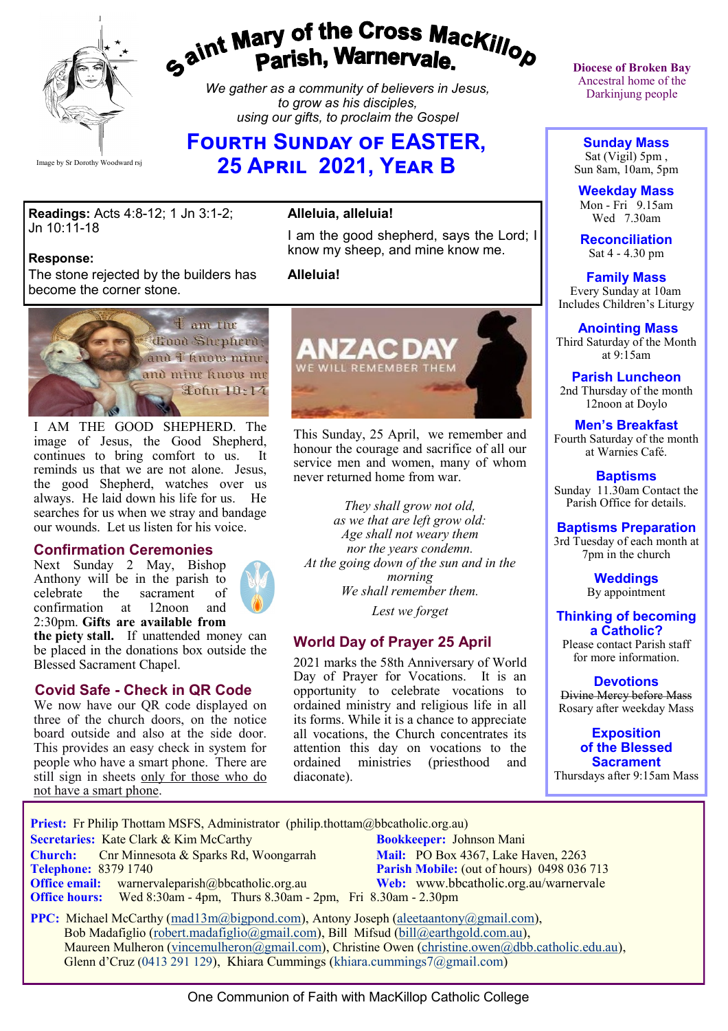

# gaint Mary of the Cross Mackillop<br>g<sup>aint</sup> Parish, Warnervale.

*We gather as a community of believers in Jesus, to grow as his disciples, using our gifts, to proclaim the Gospel*

# **FOURTH SUNDAY OF EASTER, 25 April 2021, Year B**

**Readings:** Acts 4:8-12; 1 Jn 3:1-2; Jn 10:11-18

#### **Response:**

The stone rejected by the builders has become the corner stone.



I AM THE GOOD SHEPHERD. The image of Jesus, the Good Shepherd, continues to bring comfort to us. It reminds us that we are not alone. Jesus, the good Shepherd, watches over us always. He laid down his life for us. He searches for us when we stray and bandage our wounds. Let us listen for his voice.

#### **Confirmation Ceremonies**

Next Sunday 2 May, Bishop Anthony will be in the parish to<br>celebrate the sacrament of sacrament of confirmation at 12noon and 2:30pm. **Gifts are available from** 



**the piety stall.** If unattended money can be placed in the donations box outside the Blessed Sacrament Chapel.

#### **Covid Safe - Check in QR Code**

We now have our OR code displayed on three of the church doors, on the notice board outside and also at the side door. This provides an easy check in system for people who have a smart phone. There are still sign in sheets only for those who do not have a smart phone.

# **Alleluia, alleluia!**

I am the good shepherd, says the Lord; I know my sheep, and mine know me.

#### **Alleluia!**



This Sunday, 25 April, we remember and honour the courage and sacrifice of all our service men and women, many of whom never returned home from war.

*They shall grow not old, as we that are left grow old: Age shall not weary them nor the years condemn. At the going down of the sun and in the morning We shall remember them. Lest we forget*

#### **World Day of Prayer 25 April**

2021 marks the 58th Anniversary of World Day of Prayer for Vocations. It is an opportunity to celebrate vocations to ordained ministry and religious life in all its forms. While it is a chance to appreciate all vocations, the Church concentrates its attention this day on vocations to the ordained ministries (priesthood and diaconate).

**Diocese of Broken Bay**  Ancestral home of the Darkinjung people

**Sunday Mass** Sat (Vigil) 5pm , Sun 8am, 10am, 5pm

**Weekday Mass** Mon - Fri 9.15am Wed 7.30am

**Reconciliation** Sat 4 - 4.30 pm

**Family Mass**  Every Sunday at 10am Includes Children's Liturgy

**Anointing Mass** Third Saturday of the Month at 9:15am

**Parish Luncheon** 2nd Thursday of the month 12noon at Doylo

# **Men's Breakfast**

Fourth Saturday of the month at Warnies Café.

**Baptisms** Sunday 11.30am Contact the Parish Office for details.

### **Baptisms Preparation**

3rd Tuesday of each month at 7pm in the church

> **Weddings**  By appointment

**Thinking of becoming a Catholic?**

Please contact Parish staff for more information.

**Devotions** Divine Mercy before Mass

Rosary after weekday Mass

**Exposition of the Blessed Sacrament** Thursdays after 9:15am Mass

**Priest:** Fr Philip Thottam MSFS, Administrator (philip.thottam@bbcatholic.org.au)

**Secretaries:** Kate Clark & Kim McCarthy **Bookkeeper:** Johnson Mani

**Church:** Cnr Minnesota & Sparks Rd, Woongarrah **Mail:** PO Box 4367, Lake Haven, 2263<br> **Telephone:** 8379 1740 **Parish Mobile:** (out of hours) 0498 036 **Office email:** warnervaleparish@bbcatholic.org.au **Web:** [www.bbcatholic.org.au/warnervale](https://www.bbcatholic.org.au/warnervale)

**Parish Mobile:** (out of hours) 0498 036 713  **Office hours:** Wed 8:30am - 4pm, Thurs 8.30am - 2pm, Fri 8.30am - 2.30pm

**PPC:** Michael McCarthy ([mad13m@bigpond.com\),](mailto:mad13m@bigpond.com) Antony Joseph ([aleetaantony@gmail.com\)](mailto:aleetaantony@gmail.com), Bob Madafiglio ([robert.madafiglio@gmail.com\),](mailto:robert.madafiglio@gmail.com) Bill Mifsud ([bill@earthgold.com.au\),](mailto:bill@earthgold.com.au) Maureen Mulheron [\(vincemulheron@gmail.com\),](mailto:vincemulheron@gmail.com) Christine Owen (christine.owe[n@dbb.catholic.edu.au\),](mailto:ann.jackson@dbb.catholic.edu.au) Glenn d'Cruz (0413 291 129), Khiara Cummings (khiara.cummings7@gmail.com)